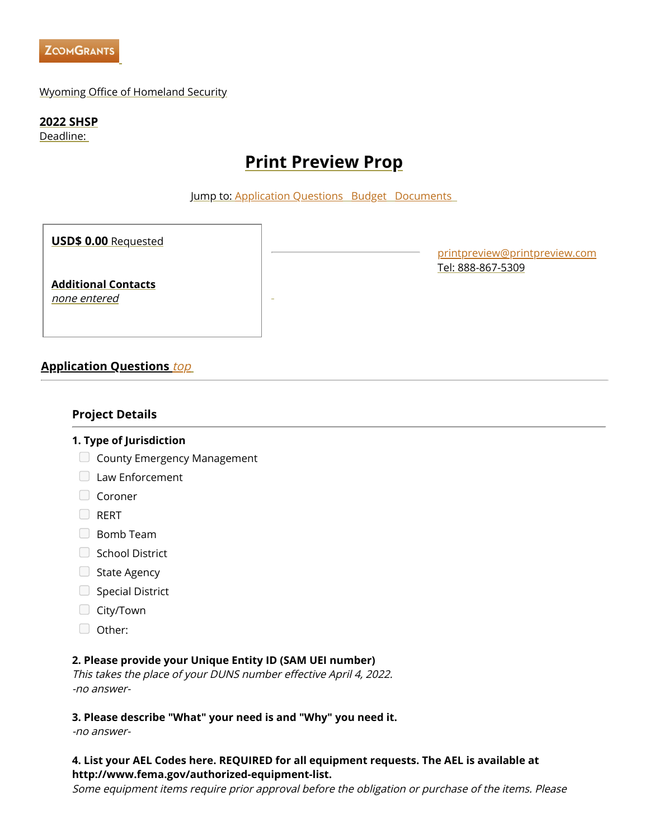<span id="page-0-1"></span>

### Wyoming Office of Homeland Security

**2022 SHSP**

Deadline:

# **Print Preview Prop**

Jump to: [Application](#page-0-0) Questions Budget [Documents](#page-4-0)

**USD\$ 0.00** Requested

**Additional Contacts**

none entered

[printpreview@printpreview.com](mailto:printpreview@printpreview.com) Tel: 888-867-5309

### <span id="page-0-0"></span>**Application Questions** [top](#page-0-1)

### **Project Details**

### **1. Type of Jurisdiction**

- $\Box$  County Emergency Management
- **Law Enforcement**
- Coroner
- **D**RERT
- **Bomb Team**
- School District
- $\Box$  State Agency
- Special District
- City/Town
- Other:

### **2. Please provide your Unique Entity ID (SAM UEI number)**

This takes the place of your DUNS number effective April 4, 2022. -no answer-

### **3. Please describe "What" your need is and "Why" you need it.**

-no answer-

### **4. List your AEL Codes here. REQUIRED for all equipment requests. The AEL is available at http://www.fema.gov/authorized-equipment-list.**

Some equipment items require prior approval before the obligation or purchase of the items. Please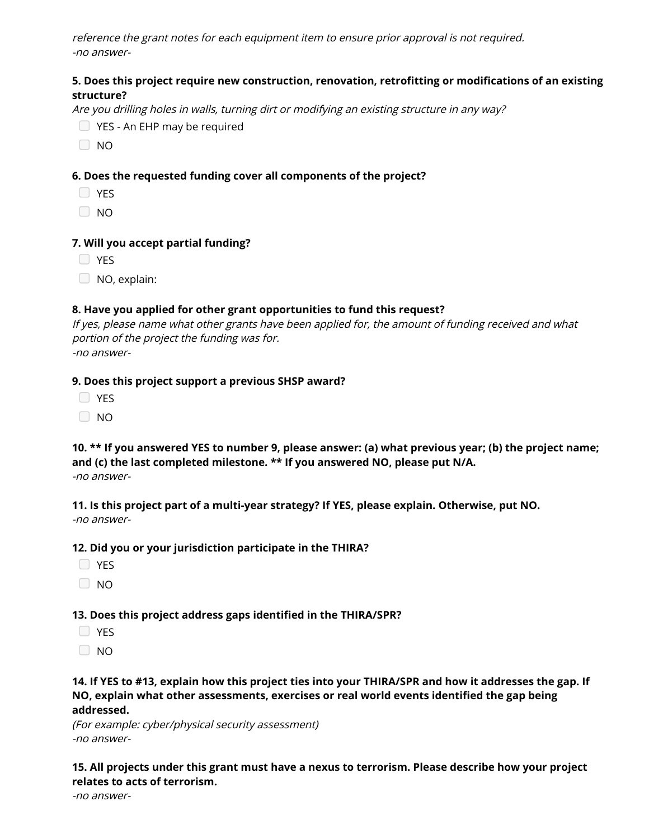reference the grant notes for each equipment item to ensure prior approval is not required. -no answer-

### **5. Does this project require new construction, renovation, retrofitting or modifications of an existing structure?**

Are you drilling holes in walls, turning dirt or modifying an existing structure in any way?

- YES An EHP may be required
- $\Box$  NO

### **6. Does the requested funding cover all components of the project?**

- **D** YES
- $\Box$  NO

#### **7. Will you accept partial funding?**

**D** YES

NO, explain:

#### **8. Have you applied for other grant opportunities to fund this request?**

If yes, please name what other grants have been applied for, the amount of funding received and what portion of the project the funding was for. -no answer-

#### **9. Does this project support a previous SHSP award?**

| M.<br>۰. |
|----------|
|----------|

 $\Box$  NO

10. \*\* If you answered YES to number 9, please answer: (a) what previous year; (b) the project name; **and (c) the last completed milestone. \*\* If you answered NO, please put N/A.** -no answer-

**11. Is this project part of a multi-year strategy? If YES, please explain. Otherwise, put NO.** -no answer-

#### **12. Did you or your jurisdiction participate in the THIRA?**

- **D** YES
- $\Box$  NO

### **13. Does this project address gaps identified in the THIRA/SPR?**

- **D** YES
- $\Box$  NO

### 14. If YES to #13, explain how this project ties into your THIRA/SPR and how it addresses the gap. If **NO, explain what other assessments, exercises or real world events identified the gap being addressed.**

(For example: cyber/physical security assessment) -no answer-

**15. All projects under this grant must have a nexus to terrorism. Please describe how your project relates to acts of terrorism.**

-no answer-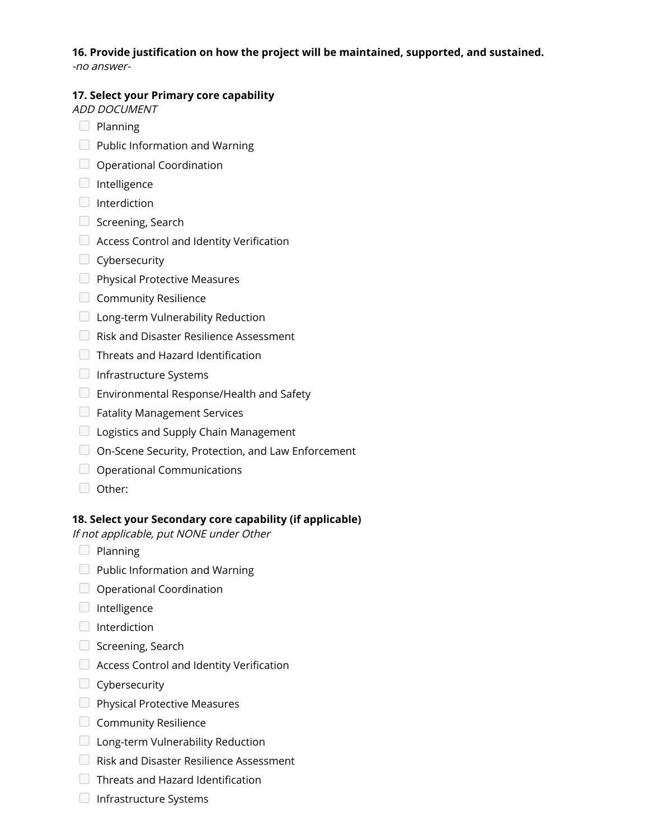## **16. Provide justification on how the project will be maintained, supported, and sustained.**

-no answer-

### **17. Select your Primary core capability**

ADD DOCUMENT

- $\Box$  Planning
- $\Box$  Public Information and Warning
- $\Box$  Operational Coordination
- $\Box$  Intelligence
- $\Box$  Interdiction
- $\Box$  Screening, Search
- $\Box$  Access Control and Identity Verification
- $\Box$  Cybersecurity
- **Physical Protective Measures**
- Community Resilience
- **Long-term Vulnerability Reduction**
- $\Box$  Risk and Disaster Resilience Assessment
- Threats and Hazard Identification
- $\Box$  Infrastructure Systems
- $\Box$  Environmental Response/Health and Safety
- **EXT** Fatality Management Services
- $\Box$  Logistics and Supply Chain Management
- □ On-Scene Security, Protection, and Law Enforcement
- O Operational Communications
- Other:

### **18. Select your Secondary core capability (if applicable)**

If not applicable, put NONE under Other

- $\Box$  Planning
- $\Box$  Public Information and Warning
- O Operational Coordination
- $\Box$  Intelligence
- $\Box$  Interdiction
- $\Box$  Screening, Search
- $\Box$  Access Control and Identity Verification
- **Cybersecurity**
- **Physical Protective Measures**
- Community Resilience
- **Long-term Vulnerability Reduction**
- Risk and Disaster Resilience Assessment
- **Threats and Hazard Identification**
- $\Box$  Infrastructure Systems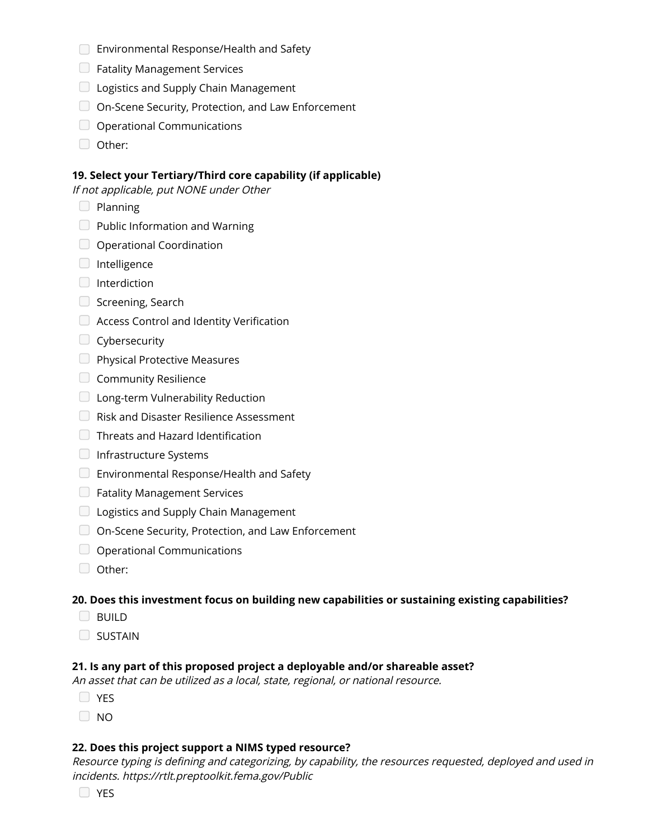- **Environmental Response/Health and Safety**
- **E** Fatality Management Services
- **Logistics and Supply Chain Management**
- On-Scene Security, Protection, and Law Enforcement
- O Operational Communications
- Other:

### **19. Select your Tertiary/Third core capability (if applicable)**

If not applicable, put NONE under Other

- $\Box$  Planning
- $\Box$  Public Information and Warning
- O Operational Coordination
- $\Box$  Intelligence
- $\Box$  Interdiction
- $\Box$  Screening, Search
- Access Control and Identity Verification
- Cybersecurity
- **Physical Protective Measures**
- Community Resilience
- **Long-term Vulnerability Reduction**
- Risk and Disaster Resilience Assessment
- **Threats and Hazard Identification**
- **Infrastructure Systems**
- Environmental Response/Health and Safety
- **E** Fatality Management Services
- $\Box$  Logistics and Supply Chain Management
- On-Scene Security, Protection, and Law Enforcement
- O Operational Communications
- Other:

### **20. Does this investment focus on building new capabilities or sustaining existing capabilities?**

- **BUILD**
- SUSTAIN

### **21. Is any part of this proposed project a deployable and/or shareable asset?**

An asset that can be utilized as <sup>a</sup> local, state, regional, or national resource.

- **O** YES
- $\Box$  NO

### **22. Does this project support a NIMS typed resource?**

Resource typing is defining and categorizing, by capability, the resources requested, deployed and used in incidents. https://rtlt.preptoolkit.fema.gov/Public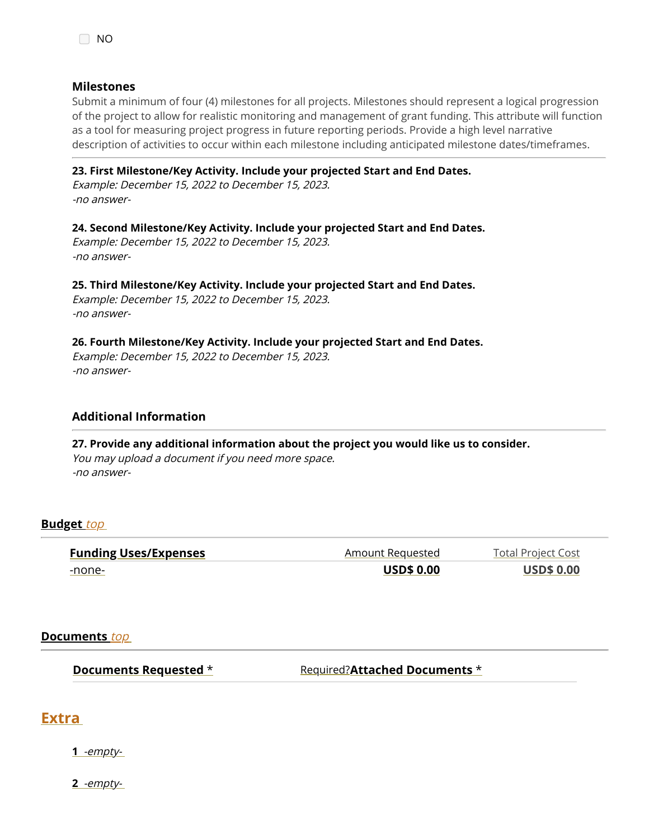### **Milestones**

Submit a minimum of four (4) milestones for all projects. Milestones should represent a logical progression of the project to allow for realistic monitoring and management of grant funding. This attribute will function as a tool for measuring project progress in future reporting periods. Provide a high level narrative description of activities to occur within each milestone including anticipated milestone dates/timeframes.

### **23. First Milestone/Key Activity. Include your projected Start and End Dates.**

Example: December 15, 2022 to December 15, 2023. -no answer-

### **24. Second Milestone/Key Activity. Include your projected Start and End Dates.**

Example: December 15, 2022 to December 15, 2023. -no answer-

### **25. Third Milestone/Key Activity. Include your projected Start and End Dates.**

Example: December 15, 2022 to December 15, 2023. -no answer-

#### **26. Fourth Milestone/Key Activity. Include your projected Start and End Dates.**

Example: December 15, 2022 to December 15, 2023. -no answer-

### **Additional Information**

**27. Provide any additional information about the project you would like us to consider.** You may upload <sup>a</sup> document if you need more space. -no answer-

### **Budget** [top](#page-0-1)

| <b>Funding Uses/Expenses</b> | Amount Requested  | <b>Total Project Cost</b> |
|------------------------------|-------------------|---------------------------|
| -none-                       | <b>USD\$ 0.00</b> | <b>USD\$ 0.00</b>         |

### <span id="page-4-0"></span>**Documents** [top](#page-0-1)

**Documents Requested** \* **Required?Attached Documents** \*

### **Extra**

**1** -empty-

**2** -empty-